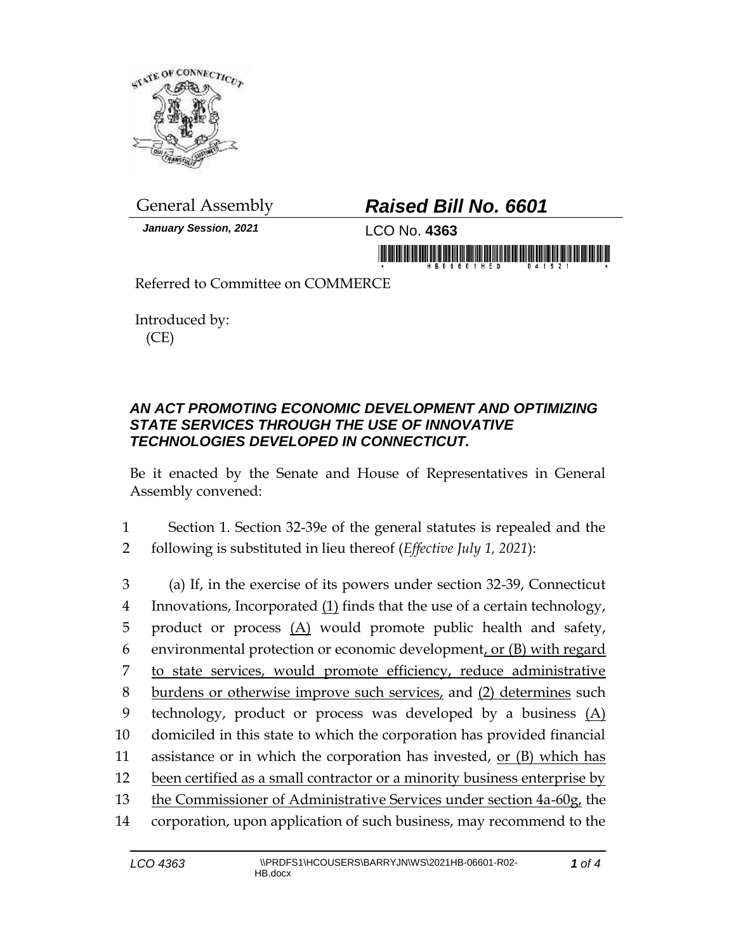

*January Session, 2021* LCO No. **4363**

## General Assembly *Raised Bill No. 6601*

in morning frisk hindeligher and his birmanni

Referred to Committee on COMMERCE

Introduced by: (CE)

## *AN ACT PROMOTING ECONOMIC DEVELOPMENT AND OPTIMIZING STATE SERVICES THROUGH THE USE OF INNOVATIVE TECHNOLOGIES DEVELOPED IN CONNECTICUT.*

Be it enacted by the Senate and House of Representatives in General Assembly convened:

1 Section 1. Section 32-39e of the general statutes is repealed and the 2 following is substituted in lieu thereof (*Effective July 1, 2021*):

 (a) If, in the exercise of its powers under section 32-39, Connecticut Innovations, Incorporated (1) finds that the use of a certain technology, 5 product or process  $(A)$  would promote public health and safety, environmental protection or economic development, or (B) with regard to state services, would promote efficiency, reduce administrative 8 burdens or otherwise improve such services, and (2) determines such technology, product or process was developed by a business (A) domiciled in this state to which the corporation has provided financial 11 assistance or in which the corporation has invested, or  $(B)$  which has 12 been certified as a small contractor or a minority business enterprise by the Commissioner of Administrative Services under section 4a-60g, the corporation, upon application of such business, may recommend to the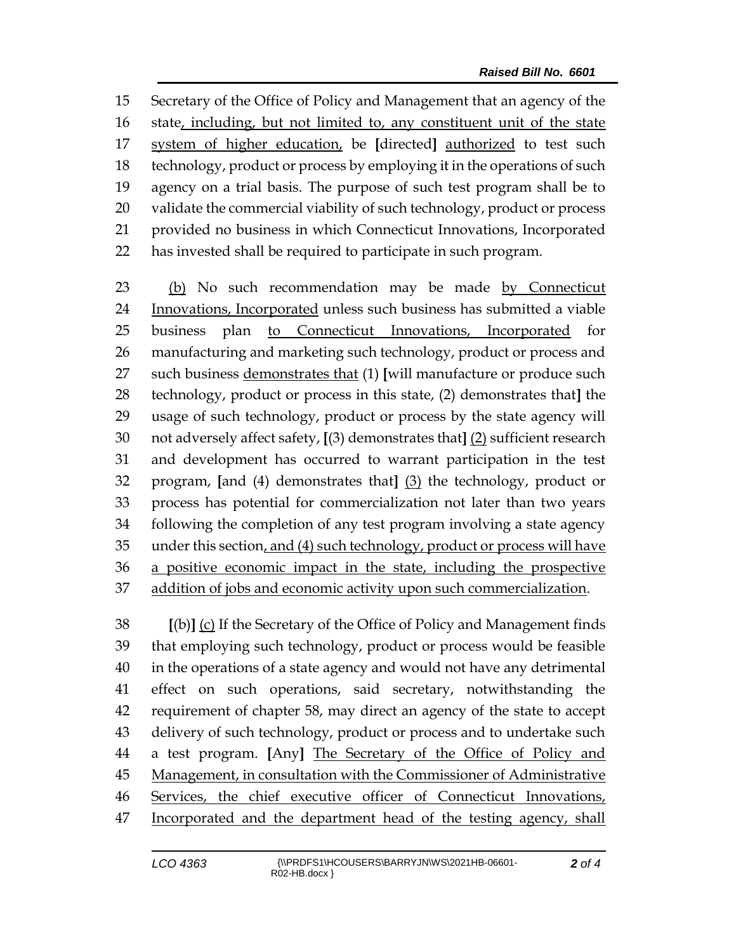Secretary of the Office of Policy and Management that an agency of the state, including, but not limited to, any constituent unit of the state system of higher education, be **[**directed**]** authorized to test such technology, product or process by employing it in the operations of such agency on a trial basis. The purpose of such test program shall be to validate the commercial viability of such technology, product or process provided no business in which Connecticut Innovations, Incorporated has invested shall be required to participate in such program.

 (b) No such recommendation may be made by Connecticut Innovations, Incorporated unless such business has submitted a viable business plan to Connecticut Innovations, Incorporated for manufacturing and marketing such technology, product or process and such business demonstrates that (1) **[**will manufacture or produce such technology, product or process in this state, (2) demonstrates that**]** the usage of such technology, product or process by the state agency will not adversely affect safety, **[**(3) demonstrates that**]** (2) sufficient research and development has occurred to warrant participation in the test program, **[**and (4) demonstrates that**]** (3) the technology, product or process has potential for commercialization not later than two years following the completion of any test program involving a state agency under this section, and (4) such technology, product or process will have a positive economic impact in the state, including the prospective addition of jobs and economic activity upon such commercialization.

 **[**(b)**]** (c) If the Secretary of the Office of Policy and Management finds that employing such technology, product or process would be feasible in the operations of a state agency and would not have any detrimental effect on such operations, said secretary, notwithstanding the requirement of chapter 58, may direct an agency of the state to accept delivery of such technology, product or process and to undertake such a test program. **[**Any**]** The Secretary of the Office of Policy and Management, in consultation with the Commissioner of Administrative Services, the chief executive officer of Connecticut Innovations, Incorporated and the department head of the testing agency, shall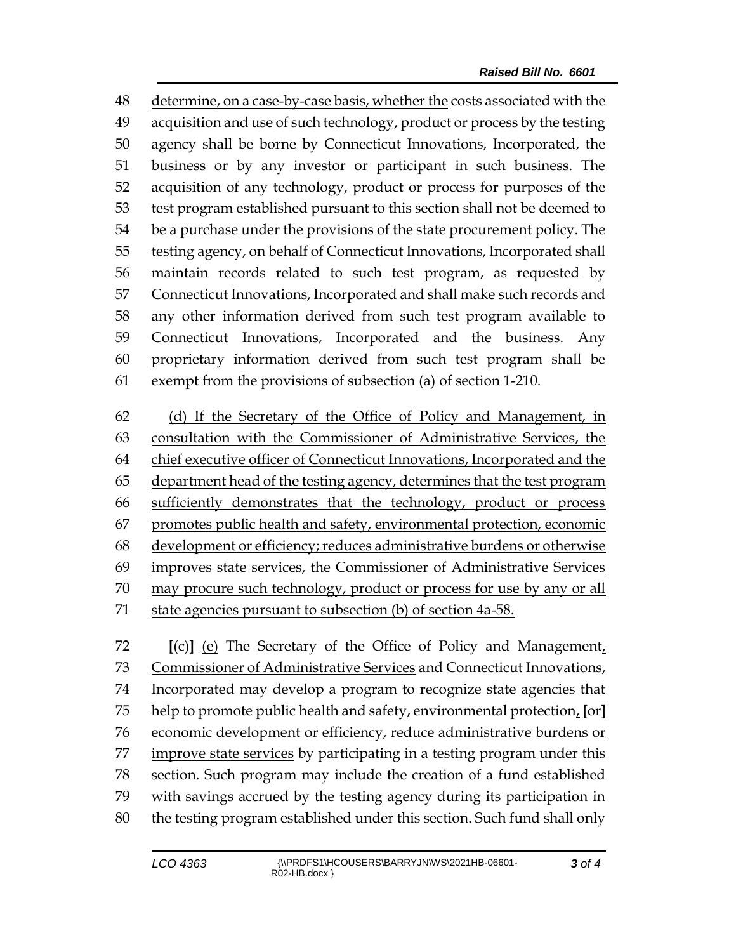determine, on a case-by-case basis, whether the costs associated with the acquisition and use of such technology, product or process by the testing agency shall be borne by Connecticut Innovations, Incorporated, the business or by any investor or participant in such business. The acquisition of any technology, product or process for purposes of the test program established pursuant to this section shall not be deemed to be a purchase under the provisions of the state procurement policy. The testing agency, on behalf of Connecticut Innovations, Incorporated shall maintain records related to such test program, as requested by Connecticut Innovations, Incorporated and shall make such records and any other information derived from such test program available to Connecticut Innovations, Incorporated and the business. Any proprietary information derived from such test program shall be exempt from the provisions of subsection (a) of section 1-210.

 (d) If the Secretary of the Office of Policy and Management, in consultation with the Commissioner of Administrative Services, the 64 chief executive officer of Connecticut Innovations, Incorporated and the 65 department head of the testing agency, determines that the test program sufficiently demonstrates that the technology, product or process promotes public health and safety, environmental protection, economic development or efficiency; reduces administrative burdens or otherwise improves state services, the Commissioner of Administrative Services may procure such technology, product or process for use by any or all state agencies pursuant to subsection (b) of section 4a-58.

 **[**(c)**]** (e) The Secretary of the Office of Policy and Management, Commissioner of Administrative Services and Connecticut Innovations, Incorporated may develop a program to recognize state agencies that help to promote public health and safety, environmental protection, **[**or**]** economic development or efficiency, reduce administrative burdens or improve state services by participating in a testing program under this section. Such program may include the creation of a fund established with savings accrued by the testing agency during its participation in the testing program established under this section. Such fund shall only